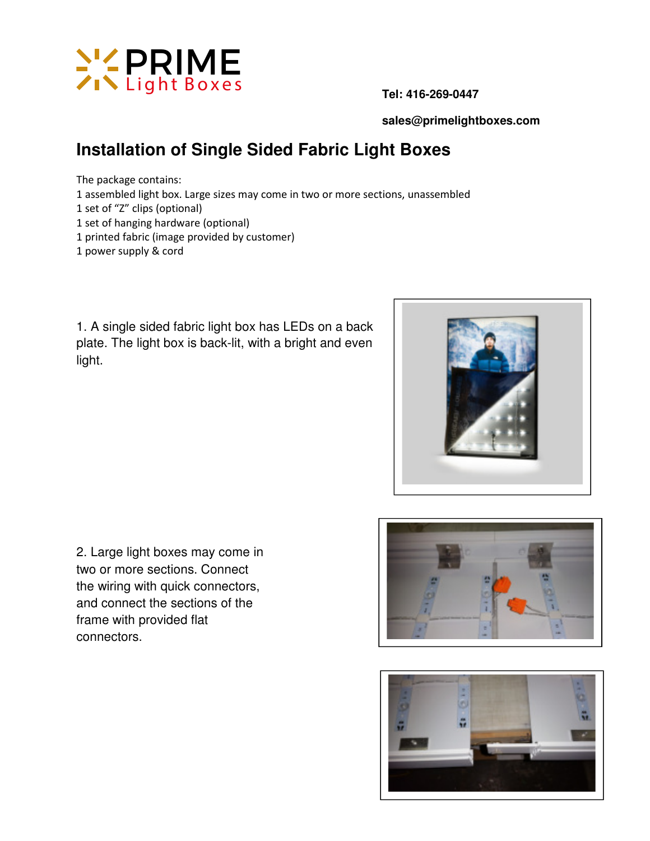

 **sales@primelightboxes.com** 

## **Installation of Single Sided Fabric Light Boxes**

The package contains: 1 assembled light box. Large sizes may come in two or more sections, unassembled 1 set of "Z" clips (optional) 1 set of hanging hardware (optional) 1 printed fabric (image provided by customer) 1 power supply & cord

1. A single sided fabric light box has LEDs on a back plate. The light box is back-lit, with a bright and even light.



2. Large light boxes may come in two or more sections. Connect the wiring with quick connectors, and connect the sections of the frame with provided flat connectors.



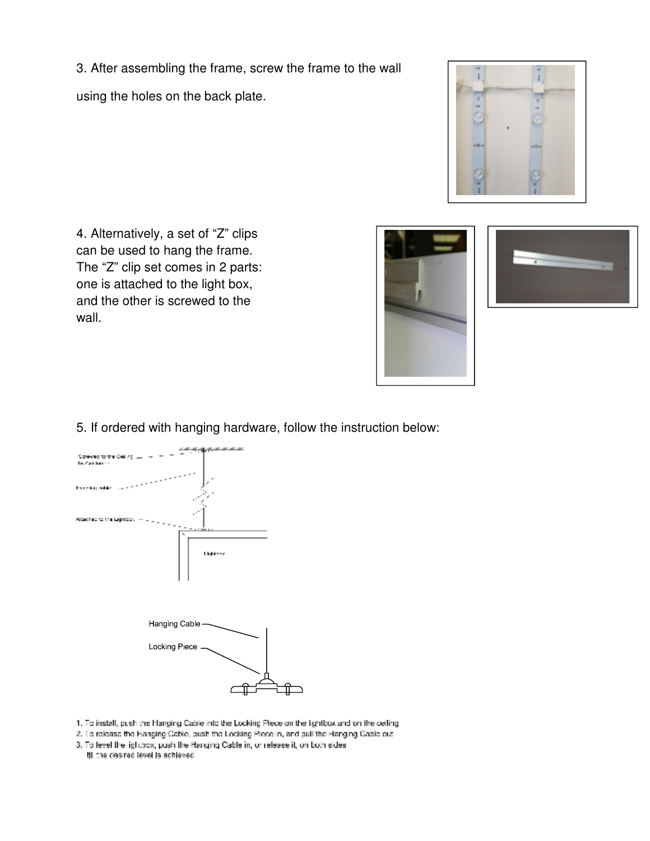3. After assembling the frame, screw the frame to the wall using the holes on the back plate.



4. Alternatively, a set of "Z" clips can be used to hang the frame. The "Z" clip set comes in 2 parts: one is attached to the light box, and the other is screwed to the wall.





5. If ordered with hanging hardware, follow the instruction below:



- 1. To install, push the Hanging Cable into the Locking Piece on the fightbox and on the ceiling
- 2. To release the Hanging Cable, push the Locking Piece in, and pull the Hanging Cable out
- 3. To level the lightbox, push the Hanging Cable in, or release it, on both sides
- til the desired level is achieved